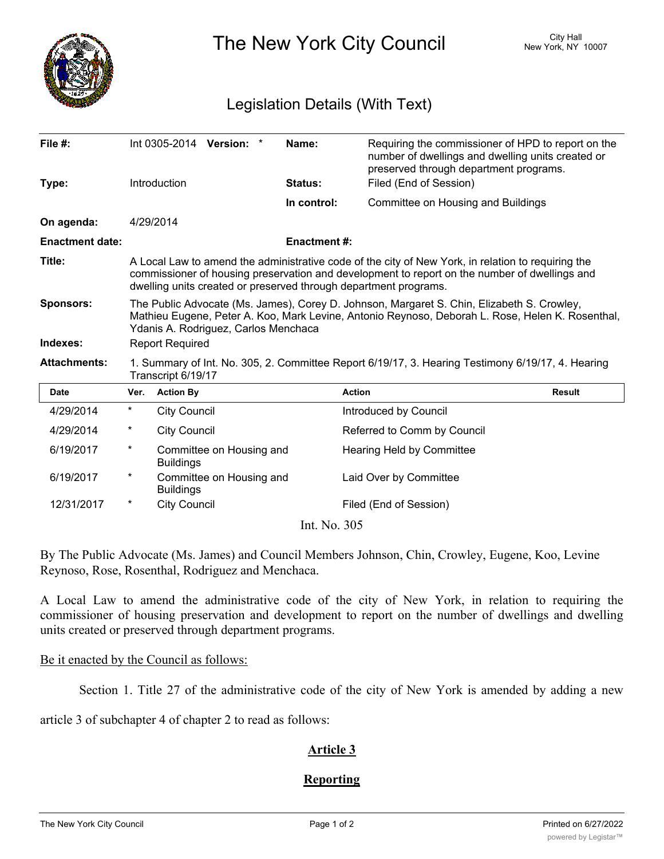

The New York City Council New York, NY 10007

# Legislation Details (With Text)

| File #:                |                                                                                                                                                                                                                                                                         |                     | Int 0305-2014 Version: * |  | Name:              | Requiring the commissioner of HPD to report on the<br>number of dwellings and dwelling units created or<br>preserved through department programs. |               |
|------------------------|-------------------------------------------------------------------------------------------------------------------------------------------------------------------------------------------------------------------------------------------------------------------------|---------------------|--------------------------|--|--------------------|---------------------------------------------------------------------------------------------------------------------------------------------------|---------------|
| Type:                  |                                                                                                                                                                                                                                                                         | Introduction        |                          |  | Status:            | Filed (End of Session)                                                                                                                            |               |
|                        |                                                                                                                                                                                                                                                                         |                     |                          |  | In control:        | Committee on Housing and Buildings                                                                                                                |               |
| On agenda:             |                                                                                                                                                                                                                                                                         | 4/29/2014           |                          |  |                    |                                                                                                                                                   |               |
| <b>Enactment date:</b> |                                                                                                                                                                                                                                                                         |                     |                          |  | <b>Enactment#:</b> |                                                                                                                                                   |               |
| Title:                 | A Local Law to amend the administrative code of the city of New York, in relation to requiring the<br>commissioner of housing preservation and development to report on the number of dwellings and<br>dwelling units created or preserved through department programs. |                     |                          |  |                    |                                                                                                                                                   |               |
| <b>Sponsors:</b>       | The Public Advocate (Ms. James), Corey D. Johnson, Margaret S. Chin, Elizabeth S. Crowley,<br>Mathieu Eugene, Peter A. Koo, Mark Levine, Antonio Reynoso, Deborah L. Rose, Helen K. Rosenthal,<br>Ydanis A. Rodriguez, Carlos Menchaca                                  |                     |                          |  |                    |                                                                                                                                                   |               |
| Indexes:               | <b>Report Required</b>                                                                                                                                                                                                                                                  |                     |                          |  |                    |                                                                                                                                                   |               |
| <b>Attachments:</b>    | 1. Summary of Int. No. 305, 2. Committee Report 6/19/17, 3. Hearing Testimony 6/19/17, 4. Hearing<br>Transcript 6/19/17                                                                                                                                                 |                     |                          |  |                    |                                                                                                                                                   |               |
| <b>Date</b>            | Ver.                                                                                                                                                                                                                                                                    | <b>Action By</b>    |                          |  |                    | <b>Action</b>                                                                                                                                     | <b>Result</b> |
| 4/29/2014              | $^\star$                                                                                                                                                                                                                                                                | <b>City Council</b> |                          |  |                    | Introduced by Council                                                                                                                             |               |
| 4/29/2014              | *                                                                                                                                                                                                                                                                       | <b>City Council</b> |                          |  |                    | Referred to Comm by Council                                                                                                                       |               |
| 6/19/2017              | $^\star$                                                                                                                                                                                                                                                                | <b>Buildings</b>    | Committee on Housing and |  |                    | <b>Hearing Held by Committee</b>                                                                                                                  |               |
| 6/19/2017              | $^\star$                                                                                                                                                                                                                                                                | <b>Buildings</b>    | Committee on Housing and |  |                    | Laid Over by Committee                                                                                                                            |               |
| 12/31/2017             | $^\star$                                                                                                                                                                                                                                                                | <b>City Council</b> |                          |  |                    | Filed (End of Session)                                                                                                                            |               |
| Int. No. 305           |                                                                                                                                                                                                                                                                         |                     |                          |  |                    |                                                                                                                                                   |               |

By The Public Advocate (Ms. James) and Council Members Johnson, Chin, Crowley, Eugene, Koo, Levine Reynoso, Rose, Rosenthal, Rodriguez and Menchaca.

A Local Law to amend the administrative code of the city of New York, in relation to requiring the commissioner of housing preservation and development to report on the number of dwellings and dwelling units created or preserved through department programs.

### Be it enacted by the Council as follows:

Section 1. Title 27 of the administrative code of the city of New York is amended by adding a new

article 3 of subchapter 4 of chapter 2 to read as follows:

## **Article 3**

### **Reporting**

**§27-2109.2 Reporting**. The commissioner shall provide to the mayor and the speaker of the council on